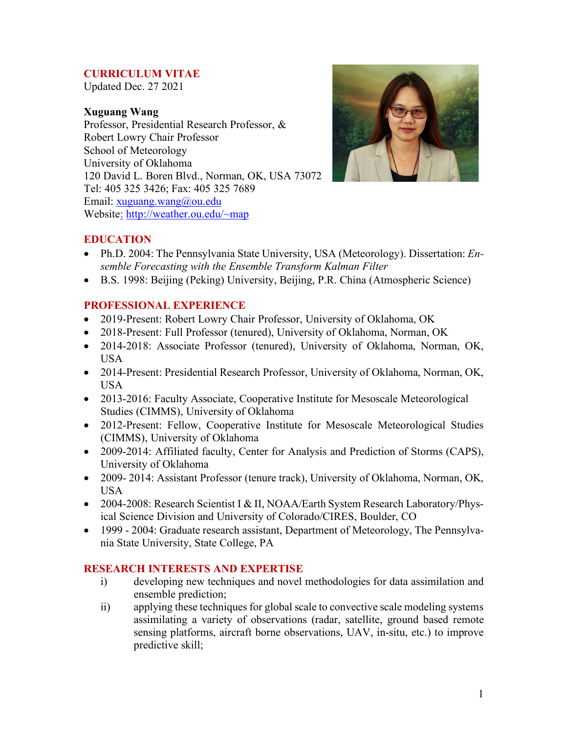### **CURRICULUM VITAE**

Updated Dec. 27 2021

#### **Xuguang Wang**

Professor, Presidential Research Professor, & Robert Lowry Chair Professor School of Meteorology University of Oklahoma 120 David L. Boren Blvd., Norman, OK, USA 73072 Tel: 405 325 3426; Fax: 405 325 7689 Email: xuguang.wang@ou.edu Website: http://weather.ou.edu/~map



### **EDUCATION**

- Ph.D. 2004: The Pennsylvania State University, USA (Meteorology). Dissertation: *Ensemble Forecasting with the Ensemble Transform Kalman Filter*
- B.S. 1998: Beijing (Peking) University, Beijing, P.R. China (Atmospheric Science)

### **PROFESSIONAL EXPERIENCE**

- 2019-Present: Robert Lowry Chair Professor, University of Oklahoma, OK
- 2018-Present: Full Professor (tenured), University of Oklahoma, Norman, OK
- 2014-2018: Associate Professor (tenured), University of Oklahoma, Norman, OK, USA
- 2014-Present: Presidential Research Professor, University of Oklahoma, Norman, OK, USA
- 2013-2016: Faculty Associate, Cooperative Institute for Mesoscale Meteorological Studies (CIMMS), University of Oklahoma
- 2012-Present: Fellow, Cooperative Institute for Mesoscale Meteorological Studies (CIMMS), University of Oklahoma
- 2009-2014: Affiliated faculty, Center for Analysis and Prediction of Storms (CAPS), University of Oklahoma
- 2009-2014: Assistant Professor (tenure track), University of Oklahoma, Norman, OK, USA
- 2004-2008: Research Scientist I & II, NOAA/Earth System Research Laboratory/Physical Science Division and University of Colorado/CIRES, Boulder, CO
- 1999 2004: Graduate research assistant, Department of Meteorology, The Pennsylvania State University, State College, PA

#### **RESEARCH INTERESTS AND EXPERTISE**

- i) developing new techniques and novel methodologies for data assimilation and ensemble prediction;
- ii) applying these techniques for global scale to convective scale modeling systems assimilating a variety of observations (radar, satellite, ground based remote sensing platforms, aircraft borne observations, UAV, in-situ, etc.) to improve predictive skill;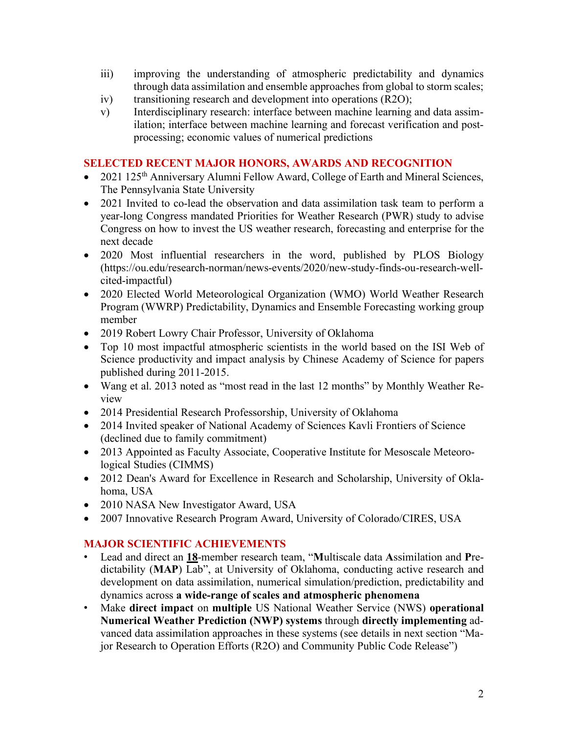- iii) improving the understanding of atmospheric predictability and dynamics through data assimilation and ensemble approaches from global to storm scales;
- iv) transitioning research and development into operations (R2O);
- v) Interdisciplinary research: interface between machine learning and data assimilation; interface between machine learning and forecast verification and postprocessing; economic values of numerical predictions

#### **SELECTED RECENT MAJOR HONORS, AWARDS AND RECOGNITION**

- 2021 125<sup>th</sup> Anniversary Alumni Fellow Award, College of Earth and Mineral Sciences, The Pennsylvania State University
- 2021 Invited to co-lead the observation and data assimilation task team to perform a year-long Congress mandated Priorities for Weather Research (PWR) study to advise Congress on how to invest the US weather research, forecasting and enterprise for the next decade
- 2020 Most influential researchers in the word, published by PLOS Biology (https://ou.edu/research-norman/news-events/2020/new-study-finds-ou-research-wellcited-impactful)
- 2020 Elected World Meteorological Organization (WMO) World Weather Research Program (WWRP) Predictability, Dynamics and Ensemble Forecasting working group member
- 2019 Robert Lowry Chair Professor, University of Oklahoma
- Top 10 most impactful atmospheric scientists in the world based on the ISI Web of Science productivity and impact analysis by Chinese Academy of Science for papers published during 2011-2015.
- Wang et al. 2013 noted as "most read in the last 12 months" by Monthly Weather Review
- 2014 Presidential Research Professorship, University of Oklahoma
- 2014 Invited speaker of National Academy of Sciences Kavli Frontiers of Science (declined due to family commitment)
- 2013 Appointed as Faculty Associate, Cooperative Institute for Mesoscale Meteorological Studies (CIMMS)
- 2012 Dean's Award for Excellence in Research and Scholarship, University of Oklahoma, USA
- 2010 NASA New Investigator Award, USA
- 2007 Innovative Research Program Award, University of Colorado/CIRES, USA

# **MAJOR SCIENTIFIC ACHIEVEMENTS**

- Lead and direct an **18**-member research team, "**M**ultiscale data **A**ssimilation and **P**redictability (**MAP**) Lab", at University of Oklahoma, conducting active research and development on data assimilation, numerical simulation/prediction, predictability and dynamics across **a wide-range of scales and atmospheric phenomena**
- Make **direct impact** on **multiple** US National Weather Service (NWS) **operational Numerical Weather Prediction (NWP) systems** through **directly implementing** advanced data assimilation approaches in these systems (see details in next section "Major Research to Operation Efforts (R2O) and Community Public Code Release")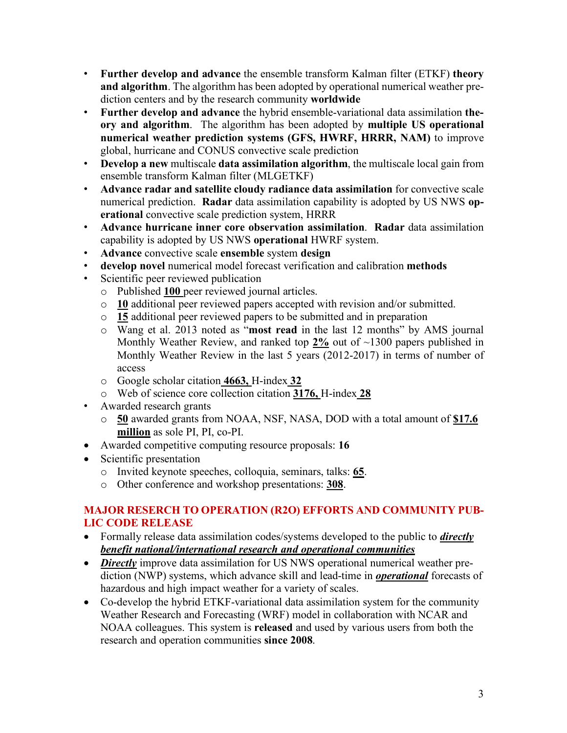- **Further develop and advance** the ensemble transform Kalman filter (ETKF) **theory and algorithm**. The algorithm has been adopted by operational numerical weather prediction centers and by the research community **worldwide**
- **Further develop and advance** the hybrid ensemble-variational data assimilation **theory and algorithm**. The algorithm has been adopted by **multiple US operational numerical weather prediction systems (GFS, HWRF, HRRR, NAM)** to improve global, hurricane and CONUS convective scale prediction
- **Develop a new** multiscale **data assimilation algorithm**, the multiscale local gain from ensemble transform Kalman filter (MLGETKF)
- **Advance radar and satellite cloudy radiance data assimilation** for convective scale numerical prediction. **Radar** data assimilation capability is adopted by US NWS **operational** convective scale prediction system, HRRR
- **Advance hurricane inner core observation assimilation**. **Radar** data assimilation capability is adopted by US NWS **operational** HWRF system.
- **Advance** convective scale **ensemble** system **design**
- **develop novel** numerical model forecast verification and calibration **methods**
- Scientific peer reviewed publication
	- o Published **100** peer reviewed journal articles.
	- o **10** additional peer reviewed papers accepted with revision and/or submitted.
	- o **15** additional peer reviewed papers to be submitted and in preparation
	- o Wang et al. 2013 noted as "**most read** in the last 12 months" by AMS journal Monthly Weather Review, and ranked top **2%** out of ~1300 papers published in Monthly Weather Review in the last 5 years (2012-2017) in terms of number of access
	- o Google scholar citation **4663,** H-index **32**
	- o Web of science core collection citation **3176,** H-index **28**
- Awarded research grants
	- o **50** awarded grants from NOAA, NSF, NASA, DOD with a total amount of **\$17.6 million** as sole PI, PI, co-PI.
- Awarded competitive computing resource proposals: **16**
- Scientific presentation
	- o Invited keynote speeches, colloquia, seminars, talks: **65**.
	- o Other conference and workshop presentations: **308**.

### **MAJOR RESERCH TO OPERATION (R2O) EFFORTS AND COMMUNITY PUB-LIC CODE RELEASE**

- Formally release data assimilation codes/systems developed to the public to *directly benefit national/international research and operational communities*
- *Directly* improve data assimilation for US NWS operational numerical weather prediction (NWP) systems, which advance skill and lead-time in *operational* forecasts of hazardous and high impact weather for a variety of scales.
- Co-develop the hybrid ETKF-variational data assimilation system for the community Weather Research and Forecasting (WRF) model in collaboration with NCAR and NOAA colleagues. This system is **released** and used by various users from both the research and operation communities **since 2008**.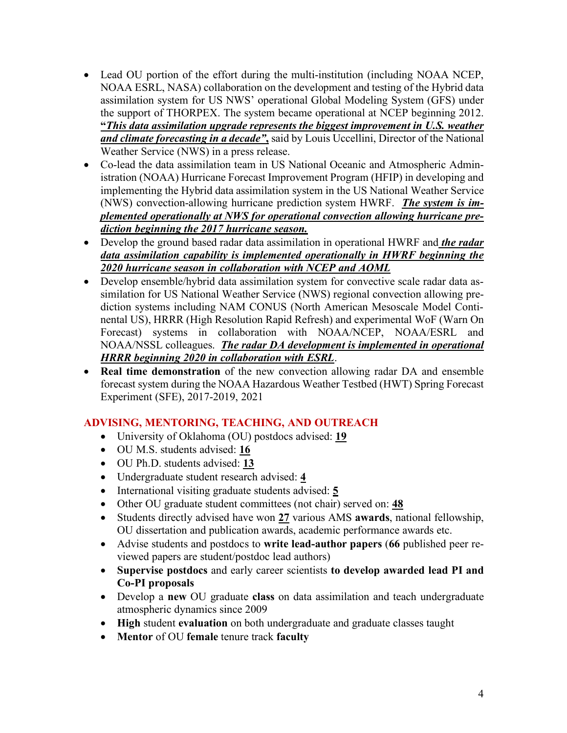- Lead OU portion of the effort during the multi-institution (including NOAA NCEP, NOAA ESRL, NASA) collaboration on the development and testing of the Hybrid data assimilation system for US NWS' operational Global Modeling System (GFS) under the support of THORPEX. The system became operational at NCEP beginning 2012. **"***This data assimilation upgrade represents the biggest improvement in U.S. weather and climate forecasting in a decade"***,** said by Louis Uccellini, Director of the National Weather Service (NWS) in a press release.
- Co-lead the data assimilation team in US National Oceanic and Atmospheric Administration (NOAA) Hurricane Forecast Improvement Program (HFIP) in developing and implementing the Hybrid data assimilation system in the US National Weather Service (NWS) convection-allowing hurricane prediction system HWRF. *The system is implemented operationally at NWS for operational convection allowing hurricane prediction beginning the 2017 hurricane season.*
- Develop the ground based radar data assimilation in operational HWRF and *the radar data assimilation capability is implemented operationally in HWRF beginning the 2020 hurricane season in collaboration with NCEP and AOML*
- Develop ensemble/hybrid data assimilation system for convective scale radar data assimilation for US National Weather Service (NWS) regional convection allowing prediction systems including NAM CONUS (North American Mesoscale Model Continental US), HRRR (High Resolution Rapid Refresh) and experimental WoF (Warn On Forecast) systems in collaboration with NOAA/NCEP, NOAA/ESRL and NOAA/NSSL colleagues. *The radar DA development is implemented in operational HRRR beginning 2020 in collaboration with ESRL*.
- **Real time demonstration** of the new convection allowing radar DA and ensemble forecast system during the NOAA Hazardous Weather Testbed (HWT) Spring Forecast Experiment (SFE), 2017-2019, 2021

# **ADVISING, MENTORING, TEACHING, AND OUTREACH**

- University of Oklahoma (OU) postdocs advised: **19**
- OU M.S. students advised: **16**
- OU Ph.D. students advised: **13**
- Undergraduate student research advised: **4**
- International visiting graduate students advised: **5**
- Other OU graduate student committees (not chair) served on: **48**
- Students directly advised have won **27** various AMS **awards**, national fellowship, OU dissertation and publication awards, academic performance awards etc.
- Advise students and postdocs to **write lead-author papers** (**66** published peer reviewed papers are student/postdoc lead authors)
- **Supervise postdocs** and early career scientists **to develop awarded lead PI and Co-PI proposals**
- Develop a **new** OU graduate **class** on data assimilation and teach undergraduate atmospheric dynamics since 2009
- **High** student **evaluation** on both undergraduate and graduate classes taught
- **Mentor** of OU **female** tenure track **faculty**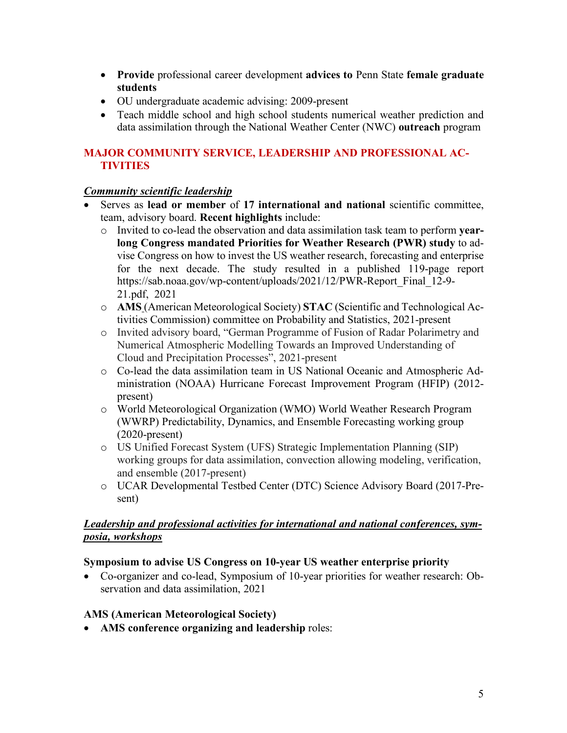- **Provide** professional career development **advices to** Penn State **female graduate students**
- OU undergraduate academic advising: 2009-present
- Teach middle school and high school students numerical weather prediction and data assimilation through the National Weather Center (NWC) **outreach** program

# **MAJOR COMMUNITY SERVICE, LEADERSHIP AND PROFESSIONAL AC-TIVITIES**

#### *Community scientific leadership*

- Serves as **lead or member** of **17 international and national** scientific committee, team, advisory board. **Recent highlights** include:
	- o Invited to co-lead the observation and data assimilation task team to perform **yearlong Congress mandated Priorities for Weather Research (PWR) study** to advise Congress on how to invest the US weather research, forecasting and enterprise for the next decade. The study resulted in a published 119-page report https://sab.noaa.gov/wp-content/uploads/2021/12/PWR-Report\_Final\_12-9- 21.pdf, 2021
	- o **AMS** (American Meteorological Society) **STAC** (Scientific and Technological Activities Commission) committee on Probability and Statistics, 2021-present
	- o Invited advisory board, "German Programme of Fusion of Radar Polarimetry and Numerical Atmospheric Modelling Towards an Improved Understanding of Cloud and Precipitation Processes", 2021-present
	- o Co-lead the data assimilation team in US National Oceanic and Atmospheric Administration (NOAA) Hurricane Forecast Improvement Program (HFIP) (2012 present)
	- o World Meteorological Organization (WMO) World Weather Research Program (WWRP) Predictability, Dynamics, and Ensemble Forecasting working group (2020-present)
	- o US Unified Forecast System (UFS) Strategic Implementation Planning (SIP) working groups for data assimilation, convection allowing modeling, verification, and ensemble (2017-present)
	- o UCAR Developmental Testbed Center (DTC) Science Advisory Board (2017-Present)

#### *Leadership and professional activities for international and national conferences, symposia, workshops*

#### **Symposium to advise US Congress on 10-year US weather enterprise priority**

• Co-organizer and co-lead, Symposium of 10-year priorities for weather research: Observation and data assimilation, 2021

#### **AMS (American Meteorological Society)**

• **AMS conference organizing and leadership** roles: